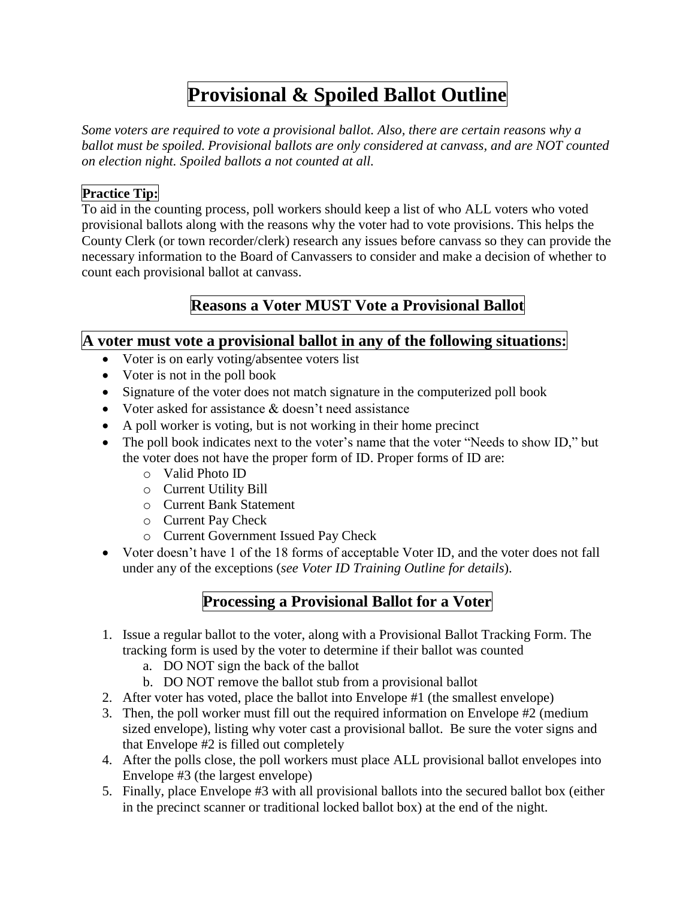# **Provisional & Spoiled Ballot Outline**

*Some voters are required to vote a provisional ballot. Also, there are certain reasons why a ballot must be spoiled. Provisional ballots are only considered at canvass, and are NOT counted on election night. Spoiled ballots a not counted at all.*

#### **Practice Tip:**

To aid in the counting process, poll workers should keep a list of who ALL voters who voted provisional ballots along with the reasons why the voter had to vote provisions. This helps the County Clerk (or town recorder/clerk) research any issues before canvass so they can provide the necessary information to the Board of Canvassers to consider and make a decision of whether to count each provisional ballot at canvass.

# **Reasons a Voter MUST Vote a Provisional Ballot**

#### **A voter must vote a provisional ballot in any of the following situations:**

- Voter is on early voting/absentee voters list
- Voter is not in the poll book
- Signature of the voter does not match signature in the computerized poll book
- Voter asked for assistance & doesn't need assistance
- A poll worker is voting, but is not working in their home precinct
- The poll book indicates next to the voter's name that the voter "Needs to show ID," but the voter does not have the proper form of ID. Proper forms of ID are:
	- o Valid Photo ID
	- o Current Utility Bill
	- o Current Bank Statement
	- o Current Pay Check
	- o Current Government Issued Pay Check
- Voter doesn't have 1 of the 18 forms of acceptable Voter ID, and the voter does not fall under any of the exceptions (*see Voter ID Training Outline for details*).

# **Processing a Provisional Ballot for a Voter**

- 1. Issue a regular ballot to the voter, along with a Provisional Ballot Tracking Form. The tracking form is used by the voter to determine if their ballot was counted
	- a. DO NOT sign the back of the ballot
	- b. DO NOT remove the ballot stub from a provisional ballot
- 2. After voter has voted, place the ballot into Envelope #1 (the smallest envelope)
- 3. Then, the poll worker must fill out the required information on Envelope #2 (medium sized envelope), listing why voter cast a provisional ballot. Be sure the voter signs and that Envelope #2 is filled out completely
- 4. After the polls close, the poll workers must place ALL provisional ballot envelopes into Envelope #3 (the largest envelope)
- 5. Finally, place Envelope #3 with all provisional ballots into the secured ballot box (either in the precinct scanner or traditional locked ballot box) at the end of the night.